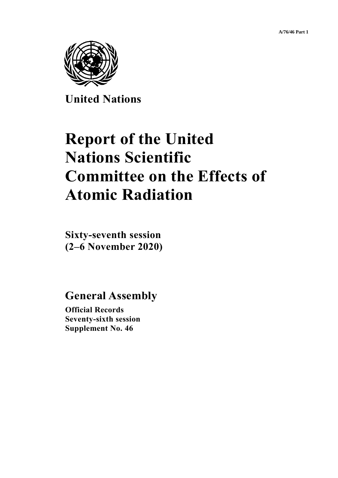

**United Nations**

# **Report of the United Nations Scientific Committee on the Effects of Atomic Radiation**

**Sixty-seventh session (2–6 November 2020)**

**General Assembly**

**Official Records Seventy-sixth session Supplement No. 46**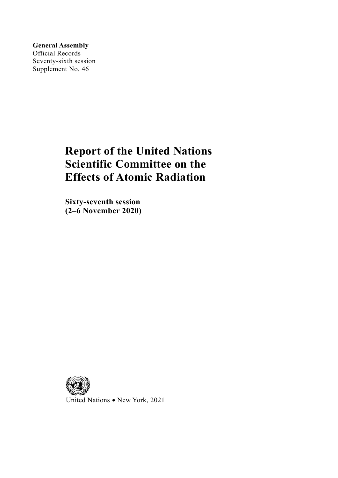**General Assembly** Official Records Seventy-sixth session Supplement No. 46

# **Report of the United Nations Scientific Committee on the Effects of Atomic Radiation**

**Sixty-seventh session (2–6 November 2020)**



United Nations • New York, 2021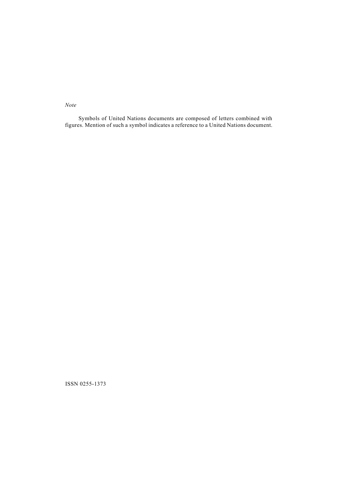*Note*

Symbols of United Nations documents are composed of letters combined with figures. Mention of such a symbol indicates a reference to a United Nations document.

ISSN 0255-1373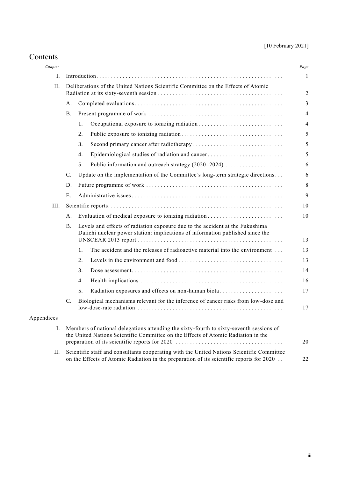# [10 February 2021]

| Contents |
|----------|
|----------|

| Chapter    |                                                                                                                                                                                        |                                                                                                                                                                 | Page |  |
|------------|----------------------------------------------------------------------------------------------------------------------------------------------------------------------------------------|-----------------------------------------------------------------------------------------------------------------------------------------------------------------|------|--|
| L.         |                                                                                                                                                                                        |                                                                                                                                                                 |      |  |
| II.        | Deliberations of the United Nations Scientific Committee on the Effects of Atomic                                                                                                      |                                                                                                                                                                 |      |  |
|            | А.                                                                                                                                                                                     |                                                                                                                                                                 |      |  |
|            | <b>B.</b>                                                                                                                                                                              |                                                                                                                                                                 |      |  |
|            |                                                                                                                                                                                        | 1.                                                                                                                                                              |      |  |
|            |                                                                                                                                                                                        | 2.                                                                                                                                                              |      |  |
|            |                                                                                                                                                                                        | 3.                                                                                                                                                              |      |  |
|            |                                                                                                                                                                                        | Epidemiological studies of radiation and cancer<br>4.                                                                                                           |      |  |
|            |                                                                                                                                                                                        | Public information and outreach strategy (2020–2024)<br>5.                                                                                                      |      |  |
|            | $\mathcal{C}$ .                                                                                                                                                                        | Update on the implementation of the Committee's long-term strategic directions                                                                                  |      |  |
|            | D.                                                                                                                                                                                     |                                                                                                                                                                 |      |  |
|            | E.                                                                                                                                                                                     |                                                                                                                                                                 |      |  |
| III.       |                                                                                                                                                                                        |                                                                                                                                                                 |      |  |
|            | А.                                                                                                                                                                                     | Evaluation of medical exposure to ionizing radiation                                                                                                            |      |  |
|            | B.                                                                                                                                                                                     | Levels and effects of radiation exposure due to the accident at the Fukushima<br>Daiichi nuclear power station: implications of information published since the |      |  |
|            |                                                                                                                                                                                        | The accident and the releases of radioactive material into the environment<br>1.                                                                                |      |  |
|            |                                                                                                                                                                                        | 2.                                                                                                                                                              |      |  |
|            |                                                                                                                                                                                        | 3.                                                                                                                                                              |      |  |
|            |                                                                                                                                                                                        | 4.                                                                                                                                                              |      |  |
|            |                                                                                                                                                                                        | 5.<br>Radiation exposures and effects on non-human biota                                                                                                        |      |  |
|            | $\mathcal{C}$ .                                                                                                                                                                        | Biological mechanisms relevant for the inference of cancer risks from low-dose and                                                                              |      |  |
| Appendices |                                                                                                                                                                                        |                                                                                                                                                                 |      |  |
| Ι.         | Members of national delegations attending the sixty-fourth to sixty-seventh sessions of<br>the United Nations Scientific Committee on the Effects of Atomic Radiation in the           |                                                                                                                                                                 |      |  |
| П.         | Scientific staff and consultants cooperating with the United Nations Scientific Committee<br>on the Effects of Atomic Radiation in the preparation of its scientific reports for 2020. |                                                                                                                                                                 |      |  |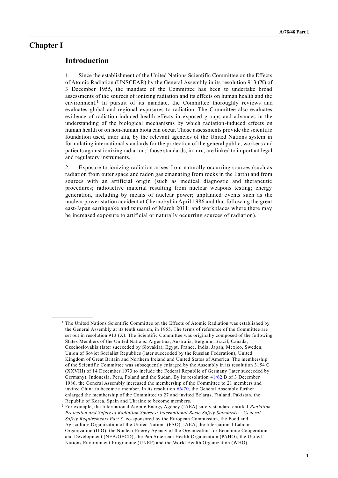# **Chapter I**

# **Introduction**

**\_\_\_\_\_\_\_\_\_\_\_\_\_\_\_\_\_\_**

1. Since the establishment of the United Nations Scientific Committee on the Effects of Atomic Radiation (UNSCEAR) by the General Assembly in its resolution 913 (X) of 3 December 1955, the mandate of the Committee has been to undertake broad assessments of the sources of ionizing radiation and its effects on human health and the environment.<sup>1</sup> In pursuit of its mandate, the Committee thoroughly reviews and evaluates global and regional exposures to radiation. The Committee also evaluates evidence of radiation-induced health effects in exposed groups and advances in the understanding of the biological mechanisms by which radiation-induced effects on human health or on non-human biota can occur. Those assessments provide the scientific foundation used, inter alia, by the relevant agencies of the United Nations system in formulating international standards for the protection of the general public, workers and patients against ionizing radiation;<sup>2</sup> those standards, in turn, are linked to important legal and regulatory instruments.

2. Exposure to ionizing radiation arises from naturally occurring sources (such as radiation from outer space and radon gas emanating from rocks in the Earth) and from sources with an artificial origin (such as medical diagnostic and therapeutic procedures; radioactive material resulting from nuclear weapons testing; energy generation, including by means of nuclear power; unplanned events such as the nuclear power station accident at Chernobyl in April 1986 and that following the great east-Japan earthquake and tsunami of March 2011; and workplaces where there may be increased exposure to artificial or naturally occurring sources of r adiation).

 $<sup>1</sup>$  The United Nations Scientific Committee on the Effects of Atomic Radiation was established by</sup> the General Assembly at its tenth session, in 1955. The terms of reference of the Committee are set out in resolution 913 (X). The Scientific Committee was originally composed of the following States Members of the United Nations: Argentina, Australia, Belgium, Brazil, Canada, Czechoslovakia (later succeeded by Slovakia), Egypt, France, India, Japan, Mexico, Sweden, Union of Soviet Socialist Republics (later succeeded by the Russian Federation), United Kingdom of Great Britain and Northern Ireland and United States of America. The membership of the Scientific Committee was subsequently enlarged by the Assembly in its resolution 3154 C (XXVIII) of 14 December 1973 to include the Federal Republic of Germany (later succeeded by Germany), Indonesia, Peru, Poland and the Sudan. By its resolution [41/62](http://undocs.org/A/RES/41/62) B of 3 December 1986, the General Assembly increased the membership of the Committee to 21 members and invited China to become a member. In its resolution [66/70,](http://undocs.org/A/RES/66/70) the General Assembly further enlarged the membership of the Committee to 27 and invited Belarus, Finland, Pakistan, the Republic of Korea, Spain and Ukraine to become members.

<sup>2</sup> For example, the International Atomic Energy Agency (IAEA) safety standard entitled *Radiation Protection and Safety of Radiation Sources: International Basic Safety Standards – General Safety Requirements Part 3*, co-sponsored by the European Commission, the Food and Agriculture Organization of the United Nations (FAO), IAEA, the International Labour Organization (ILO), the Nuclear Energy Agency of the Organization for Economic Cooperation and Development (NEA/OECD), the Pan American Health Organization (PAHO), the United Nations Environment Programme (UNEP) and the World Health Organization (WHO).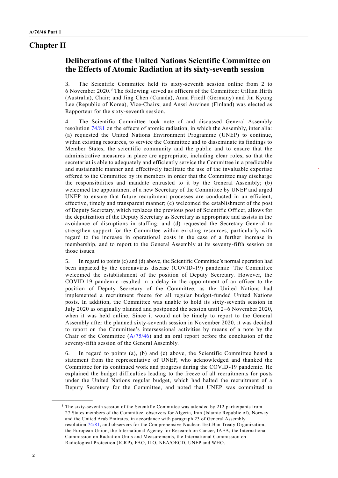# **Chapter II**

# **Deliberations of the United Nations Scientific Committee on the Effects of Atomic Radiation at its sixty-seventh session**

3. The Scientific Committee held its sixty-seventh session online from 2 to 6 November 2020.<sup>3</sup> The following served as officers of the Committee: Gillian Hirth (Australia), Chair; and Jing Chen (Canada), Anna Friedl (Germany) and Jin Kyung Lee (Republic of Korea), Vice-Chairs; and Anssi Auvinen (Finland) was elected as Rapporteur for the sixty-seventh session.

4. The Scientific Committee took note of and discussed General Assembly resolution [74/81](http://undocs.org/A/RES/74/81) on the effects of atomic radiation, in which the Assembly, inter alia: (a) requested the United Nations Environment Programme (UNEP) to continue, within existing resources, to service the Committee and to disseminate its findings to Member States, the scientific community and the public and to ensure that the administrative measures in place are appropriate, including clear roles, so that the secretariat is able to adequately and efficiently service the Committee in a predictable and sustainable manner and effectively facilitate the use of the invaluable expertise offered to the Committee by its members in order that the Committee may discharge the responsibilities and mandate entrusted to it by the General Assembly; (b) welcomed the appointment of a new Secretary of the Committee by UNEP and urged UNEP to ensure that future recruitment processes are conducted in an efficient, effective, timely and transparent manner; (c) welcomed the establishment of the post of Deputy Secretary, which replaces the previous post of Scientific Officer, allows for the deputization of the Deputy Secretary as Secretary as appropriate and assists in the avoidance of disruptions in staffing; and (d) requested the Secretary-General to strengthen support for the Committee within existing resources, particularly with regard to the increase in operational costs in the case of a further increase in membership, and to report to the General Assembly at its seventy-fifth session on those issues.

5. In regard to points (c) and (d) above, the Scientific Committee's normal operation had been impacted by the coronavirus disease (COVID-19) pandemic. The Committee welcomed the establishment of the position of Deputy Secretary. However, the COVID-19 pandemic resulted in a delay in the appointment of an officer to the position of Deputy Secretary of the Committee, as the United Nations had implemented a recruitment freeze for all regular budget-funded United Nations posts. In addition, the Committee was unable to hold its sixty-seventh session in July 2020 as originally planned and postponed the session until 2–6 November 2020, when it was held online. Since it would not be timely to report to the General Assembly after the planned sixty-seventh session in November 2020, it was decided to report on the Committee's intersessional activities by means of a note by the Chair of the Committee [\(A/75/46\)](http://undocs.org/A/75/46) and an oral report before the conclusion of the seventy-fifth session of the General Assembly.

6. In regard to points (a), (b) and (c) above, the Scientific Committee heard a statement from the representative of UNEP, who acknowledged and thanked the Committee for its continued work and progress during the COVID-19 pandemic. He explained the budget difficulties leading to the freeze of all recruitments for posts under the United Nations regular budget, which had halted the recruitment of a Deputy Secretary for the Committee, and noted that UNEP was committed to

<sup>&</sup>lt;sup>3</sup> The sixty-seventh session of the Scientific Committee was attended by 212 participants from 27 States members of the Committee, observers for Algeria, Iran (Islamic Republic of), Norway and the United Arab Emirates, in accordance with paragraph 23 of General Assembly resolution [74/81,](http://undocs.org/A/RES/74/81) and observers for the Comprehensive Nuclear-Test-Ban Treaty Organization, the European Union, the International Agency for Research on Cancer, IAEA, the International Commission on Radiation Units and Measurements, the International Commission on Radiological Protection (ICRP), FAO, ILO, NEA/OECD, UNEP and WHO.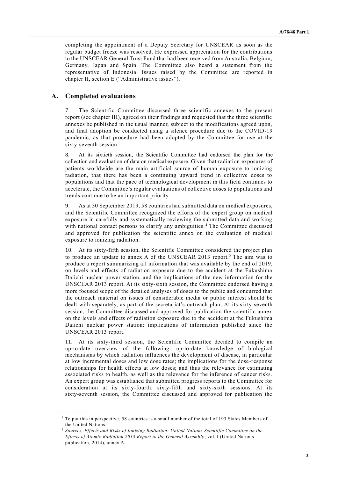completing the appointment of a Deputy Secretary for UNSCEAR as soon as the regular budget freeze was resolved. He expressed appreciation for the contributions to the UNSCEAR General Trust Fund that had been received from Australia, Belgium, Germany, Japan and Spain. The Committee also heard a statement from the representative of Indonesia. Issues raised by the Committee are reported in chapter II, section E ("Administrative issues").

### **A. Completed evaluations**

**\_\_\_\_\_\_\_\_\_\_\_\_\_\_\_\_\_\_**

7. The Scientific Committee discussed three scientific annexes to the present report (see chapter III), agreed on their findings and requested that the three scientific annexes be published in the usual manner, subject to the modifications agreed upon, and final adoption be conducted using a silence procedure due to the COVID-19 pandemic, as that procedure had been adopted by the Committee for use at the sixty-seventh session.

8. At its sixtieth session, the Scientific Committee had endorsed the plan for the collection and evaluation of data on medical exposure. Given that radiation exposures of patients worldwide are the main artificial source of human exposure to ionizing radiation, that there has been a continuing upward trend in collective doses to populations and that the pace of technological development in this field continues to accelerate, the Committee's regular evaluations of collective doses to populations and trends continue to be an important priority.

9. As at 30 September 2019, 58 countries had submitted data on medical exposures, and the Scientific Committee recognized the efforts of the expert group on medical exposure in carefully and systematically reviewing the submitted data and working with national contact persons to clarify any ambiguities. <sup>4</sup> The Committee discussed and approved for publication the scientific annex on the evaluation of medical exposure to ionizing radiation.

10. At its sixty-fifth session, the Scientific Committee considered the project plan to produce an update to annex A of the UNSCEAR 2013 report.<sup>5</sup> The aim was to produce a report summarizing all information that was available by the end of 2019, on levels and effects of radiation exposure due to the accident at the Fukushima Daiichi nuclear power station, and the implications of the new information for the UNSCEAR 2013 report. At its sixty-sixth session, the Committee endorsed having a more focused scope of the detailed analyses of doses to the public and concurred that the outreach material on issues of considerable media or public interest should be dealt with separately, as part of the secretariat's outreach plan. At its sixty-seventh session, the Committee discussed and approved for publication the scientific annex on the levels and effects of radiation exposure due to the accident at the Fukushima Daiichi nuclear power station: implications of information published since the UNSCEAR 2013 report.

11. At its sixty-third session, the Scientific Committee decided to compile an up-to-date overview of the following: up-to-date knowledge of biological mechanisms by which radiation influences the development of disease, in particular at low incremental doses and low dose rates; the implications for the dose -response relationships for health effects at low doses; and thus the relevance for estimating associated risks to health, as well as the relevance for the inference of cancer risks. An expert group was established that submitted progress reports to the Committee for consideration at its sixty-fourth, sixty-fifth and sixty-sixth sessions. At its sixty-seventh session, the Committee discussed and approved for publication the

<sup>4</sup> To put this in perspective, 58 countries is a small number of the total of 193 States Members of the United Nations.

<sup>5</sup> *Sources, Effects and Risks of Ionizing Radiation: United Nations Scientific Committee on the Effects of Atomic Radiation 2013 Report to the General Assembly*, vol. I (United Nations publication, 2014), annex A.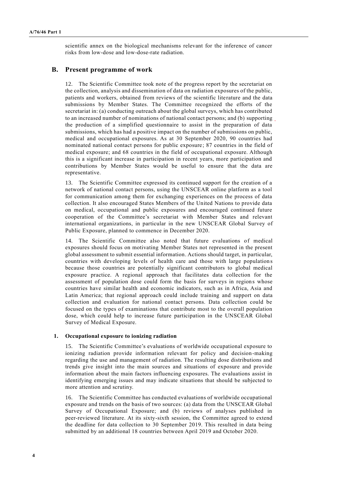scientific annex on the biological mechanisms relevant for the inference of cancer risks from low-dose and low-dose-rate radiation.

#### **B. Present programme of work**

12. The Scientific Committee took note of the progress report by the secretariat on the collection, analysis and dissemination of data on radiation exposures of the public, patients and workers, obtained from reviews of the scientific literature and the data submissions by Member States. The Committee recognized the efforts of the secretariat in: (a) conducting outreach about the global surveys, which has contributed to an increased number of nominations of national contact persons; and (b) supporting the production of a simplified questionnaire to assist in the preparation of data submissions, which has had a positive impact on the number of submissions on public, medical and occupational exposures. As at 30 September 2020, 90 countries had nominated national contact persons for public exposure; 87 countries in the field of medical exposure; and 68 countries in the field of occupational exposure. Although this is a significant increase in participation in recent years, more participation and contributions by Member States would be useful to ensure that the data are representative.

13. The Scientific Committee expressed its continued support for the creation of a network of national contact persons, using the UNSCEAR online platform as a tool for communication among them for exchanging experiences on the process of data collection. It also encouraged States Members of the United Nations to provide data on medical, occupational and public exposures and encouraged continued future cooperation of the Committee's secretariat with Member States and relevant international organizations, in particular in the new UNSCEAR Global Survey of Public Exposure, planned to commence in December 2020.

14. The Scientific Committee also noted that future evaluations of medical exposures should focus on motivating Member States not represented in the present global assessment to submit essential information. Actions should target, in particular, countries with developing levels of health care and those with large population s because those countries are potentially significant contributors to global medical exposure practice. A regional approach that facilitates data collection for the assessment of population dose could form the basis for surveys in regions whose countries have similar health and economic indicators, such as in Africa, Asia and Latin America; that regional approach could include training and support on data collection and evaluation for national contact persons. Data collection could be focused on the types of examinations that contribute most to the overall population dose, which could help to increase future participation in the UNSCEAR Global Survey of Medical Exposure.

#### **1. Occupational exposure to ionizing radiation**

15. The Scientific Committee's evaluations of worldwide occupational exposure to ionizing radiation provide information relevant for policy and decision-making regarding the use and management of radiation. The resulting dose distributions and trends give insight into the main sources and situations of exposure and provide information about the main factors influencing exposures. The evaluations assist in identifying emerging issues and may indicate situations that should be subjected to more attention and scrutiny.

16. The Scientific Committee has conducted evaluations of worldwide occupational exposure and trends on the basis of two sources: (a) data from the UNSCEAR Global Survey of Occupational Exposure; and (b) reviews of analyses published in peer-reviewed literature. At its sixty-sixth session, the Committee agreed to extend the deadline for data collection to 30 September 2019. This resulted in data being submitted by an additional 18 countries between April 2019 and October 2020.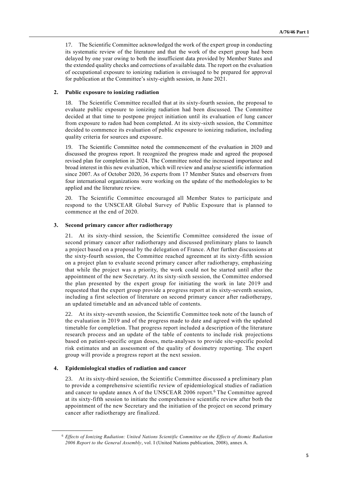17. The Scientific Committee acknowledged the work of the expert group in conducting its systematic review of the literature and that the work of the expert group had been delayed by one year owing to both the insufficient data provided by Member States and the extended quality checks and corrections of available data. The report on the evaluation of occupational exposure to ionizing radiation is envisaged to be prepared for approval for publication at the Committee's sixty-eighth session, in June 2021.

#### **2. Public exposure to ionizing radiation**

18. The Scientific Committee recalled that at its sixty-fourth session, the proposal to evaluate public exposure to ionizing radiation had been discussed. The Committee decided at that time to postpone project initiation until its evaluation of lung cancer from exposure to radon had been completed. At its sixty-sixth session, the Committee decided to commence its evaluation of public exposure to ionizing radiation, including quality criteria for sources and exposure.

19. The Scientific Committee noted the commencement of the evaluation in 2020 and discussed the progress report. It recognized the progress made and agreed the proposed revised plan for completion in 2024. The Committee noted the increased importance and broad interest in this new evaluation, which will review and analyse scientific information since 2007. As of October 2020, 36 experts from 17 Member States and observers from four international organizations were working on the update of the methodologies to be applied and the literature review.

20. The Scientific Committee encouraged all Member States to participate and respond to the UNSCEAR Global Survey of Public Exposure that is planned to commence at the end of 2020.

#### **3. Second primary cancer after radiotherapy**

21. At its sixty-third session, the Scientific Committee considered the issue of second primary cancer after radiotherapy and discussed preliminary plans to launch a project based on a proposal by the delegation of France. After further discussions at the sixty-fourth session, the Committee reached agreement at its sixty-fifth session on a project plan to evaluate second primary cancer after radiotherapy, emphasizing that while the project was a priority, the work could not be started until after the appointment of the new Secretary. At its sixty-sixth session, the Committee endorsed the plan presented by the expert group for initiating the work in late 2019 and requested that the expert group provide a progress report at its sixty-seventh session, including a first selection of literature on second primary cancer after radiotherapy, an updated timetable and an advanced table of contents.

22. At its sixty-seventh session, the Scientific Committee took note of the launch of the evaluation in 2019 and of the progress made to date and agreed with the updated timetable for completion. That progress report included a description of the literature research process and an update of the table of contents to include risk projections based on patient-specific organ doses, meta-analyses to provide site-specific pooled risk estimates and an assessment of the quality of dosimetry reporting. The expert group will provide a progress report at the next session.

#### **4. Epidemiological studies of radiation and cancer**

**\_\_\_\_\_\_\_\_\_\_\_\_\_\_\_\_\_\_**

23. At its sixty-third session, the Scientific Committee discussed a preliminary plan to provide a comprehensive scientific review of epidemiological studies of radiation and cancer to update annex A of the UNSCEAR 2006 report.<sup>6</sup> The Committee agreed at its sixty-fifth session to initiate the comprehensive scientific review after both the appointment of the new Secretary and the initiation of the project on second primary cancer after radiotherapy are finalized.

<sup>6</sup> *Effects of Ionizing Radiation: United Nations Scientific Committee on the Effects of Atomic Radiation 2006 Report to the General Assembly*, vol. I (United Nations publication, 2008), annex A.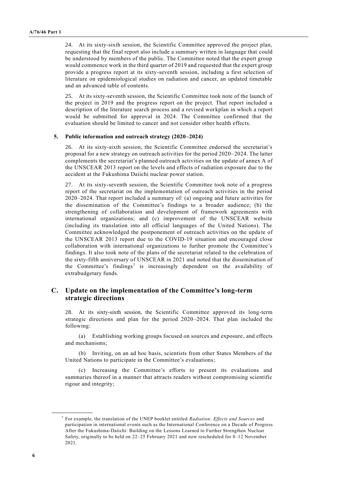24. At its sixty-sixth session, the Scientific Committee approved the project plan, requesting that the final report also include a summary written in language that could be understood by members of the public. The Committee noted that the expert group would commence work in the third quarter of 2019 and requested that the expert group provide a progress report at its sixty-seventh session, including a first selection of literature on epidemiological studies on radiation and cancer, an updated timetable and an advanced table of contents.

25. At its sixty-seventh session, the Scientific Committee took note of the launch of the project in 2019 and the progress report on the project. That report included a description of the literature search process and a revised workplan in which a report would be submitted for approval in 2024. The Committee confirmed that the evaluation should be limited to cancer and not consider other health effects.

#### **5. Public information and outreach strategy (2020–2024)**

26. At its sixty-sixth session, the Scientific Committee endorsed the secretariat's proposal for a new strategy on outreach activities for the period 2020–2024. The latter complements the secretariat's planned outreach activities on the update of annex A of the UNSCEAR 2013 report on the levels and effects of radiation exposure due to the accident at the Fukushima Daiichi nuclear power station.

At its sixty-seventh session, the Scientific Committee took note of a progress report of the secretariat on the implementation of outreach activities in the period 2020–2024. That report included a summary of: (a) ongoing and future activities for the dissemination of the Committee's findings to a broader audience; (b) the strengthening of collaboration and development of framework agreements with international organizations; and (c) improvement of the UNSCEAR website (including its translation into all official languages of the United Nations). The Committee acknowledged the postponement of outreach activities on the upda te of the UNSCEAR 2013 report due to the COVID-19 situation and encouraged close collaboration with international organizations to further promote the Committee's findings. It also took note of the plans of the secretariat related to the celebration of the sixty-fifth anniversary of UNSCEAR in 2021 and noted that the dissemination of the Committee's findings<sup>7</sup> is increasingly dependent on the availability of extrabudgetary funds.

# **C. Update on the implementation of the Committee's long-term strategic directions**

28. At its sixty-sixth session, the Scientific Committee approved its long-term strategic directions and plan for the period 2020–2024. That plan included the following:

(a) Establishing working groups focused on sources and exposure, and effects and mechanisms;

(b) Inviting, on an ad hoc basis, scientists from other States Members of the United Nations to participate in the Committee's evaluations;

(c) Increasing the Committee's efforts to present its evaluations and summaries thereof in a manner that attracts readers without compromising scientific rigour and integrity;

<sup>7</sup> For example, the translation of the UNEP booklet entitled *Radiation: Effects and Sources* and participation in international events such as the International Conference on a Decade of Progress After the Fukushima-Daiichi: Building on the Lessons Learned to Further Strengthen Nuclear Safety, originally to be held on 22–25 February 2021 and now rescheduled for 8–12 November 2021.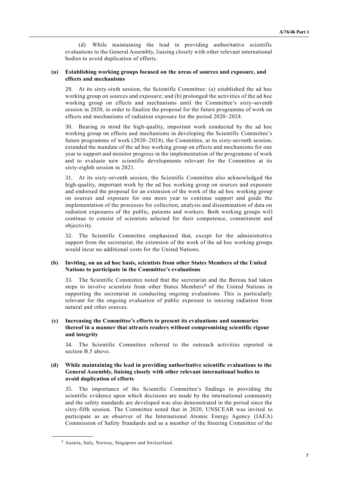(d) While maintaining the lead in providing authoritative scientific evaluations to the General Assembly, liaising closely with other relevant international bodies to avoid duplication of efforts.

#### **(a) Establishing working groups focused on the areas of sources and exposure, and effects and mechanisms**

At its sixty-sixth session, the Scientific Committee: (a) established the ad hoc working group on sources and exposure; and (b) prolonged the activities of the ad hoc working group on effects and mechanisms until the Committee's sixty-seventh session in 2020, in order to finalize the proposal for the future programme of work on effects and mechanisms of radiation exposure for the period 2020–2024.

30. Bearing in mind the high-quality, important work conducted by the ad hoc working group on effects and mechanisms in developing the Scientific Committee's future programme of work (2020–2024), the Committee, at its sixty-seventh session, extended the mandate of the ad hoc working group on effects and mechanisms for one year to support and monitor progress in the implementation of the programme of work and to evaluate new scientific developments relevant for the Committee at its sixty-eighth session in 2021.

31. At its sixty-seventh session, the Scientific Committee also acknowledged the high-quality, important work by the ad hoc working group on sources and exposure and endorsed the proposal for an extension of the work of the ad hoc working group on sources and exposure for one more year to continue support and guide the implementation of the processes for collection, analysis and dissemination of data on radiation exposures of the public, patients and workers. Both working groups will continue to consist of scientists selected for their competence, commitment and objectivity.

32. The Scientific Committee emphasized that, except for the administrative support from the secretariat, the extension of the work of the ad hoc working groups would incur no additional costs for the United Nations.

#### **(b) Inviting, on an ad hoc basis, scientists from other States Members of the United Nations to participate in the Committee's evaluations**

33. The Scientific Committee noted that the secretariat and the Bureau had taken steps to involve scientists from other States Members<sup>8</sup> of the United Nations in supporting the secretariat in conducting ongoing evaluations. This is particularly relevant for the ongoing evaluation of public exposure to ionizing radiation from natural and other sources.

#### **(c) Increasing the Committee's efforts to present its evaluations and summaries thereof in a manner that attracts readers without compromising scientific rigour and integrity**

34. The Scientific Committee referred to the outreach activities reported in section B.5 above.

#### **(d) While maintaining the lead in providing authoritative scientific evaluations to the General Assembly, liaising closely with other relevant international bodies to avoid duplication of efforts**

35. The importance of the Scientific Committee's findings in providing the scientific evidence upon which decisions are made by the international community and the safety standards are developed was also demonstrated in the period since the sixty-fifth session. The Committee noted that in 2020, UNSCEAR was invited to participate as an observer of the International Atomic Energy Agency (IAEA) Commission of Safety Standards and as a member of the Steering Committee of the

<sup>8</sup> Austria, Italy, Norway, Singapore and Switzerland.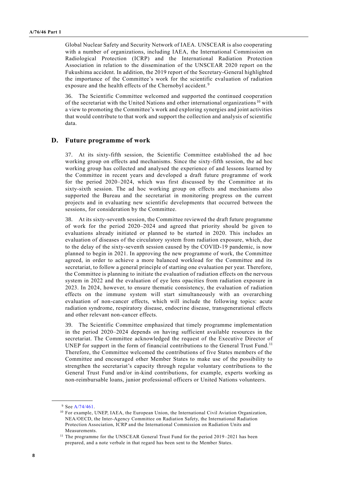Global Nuclear Safety and Security Network of IAEA. UNSCEAR is also cooperating with a number of organizations, including IAEA, the International Commission on Radiological Protection (ICRP) and the International Radiation Protection Association in relation to the dissemination of the UNSCEAR 2020 report on the Fukushima accident. In addition, the 2019 report of the Secretary-General highlighted the importance of the Committee's work for the scientific evaluation of radiation exposure and the health effects of the Chernobyl accident.<sup>9</sup>

36. The Scientific Committee welcomed and supported the continued cooperation of the secretariat with the United Nations and other international organizations  $10$  with a view to promoting the Committee's work and exploring synergies and joint activities that would contribute to that work and support the collection and analysis of scientific data.

#### **D. Future programme of work**

37. At its sixty-fifth session, the Scientific Committee established the ad hoc working group on effects and mechanisms. Since the sixty-fifth session, the ad hoc working group has collected and analysed the experience of and lessons learned by the Committee in recent years and developed a draft future programme of work for the period 2020–2024, which was first discussed by the Committee at its sixty-sixth session. The ad hoc working group on effects and mechanisms also supported the Bureau and the secretariat in monitoring progress on the current projects and in evaluating new scientific developments that occurred between the sessions, for consideration by the Committee.

38. At its sixty-seventh session, the Committee reviewed the draft future programme of work for the period 2020–2024 and agreed that priority should be given to evaluations already initiated or planned to be started in 2020. This includes an evaluation of diseases of the circulatory system from radiation exposure, which, due to the delay of the sixty-seventh session caused by the COVID-19 pandemic, is now planned to begin in 2021. In approving the new programme of work, the Committee agreed, in order to achieve a more balanced workload for the Committee and its secretariat, to follow a general principle of starting one evaluation per year. Therefore, the Committee is planning to initiate the evaluation of radiation effects on the nervous system in 2022 and the evaluation of eye lens opacities from radiation exposure in 2023. In 2024, however, to ensure thematic consistency, the evaluation of radiation effects on the immune system will start simultaneously with an overarching evaluation of non-cancer effects, which will include the following topics: acute radiation syndrome, respiratory disease, endocrine disease, transgenerational effects and other relevant non-cancer effects.

39. The Scientific Committee emphasized that timely programme implementation in the period 2020–2024 depends on having sufficient available resources in the secretariat. The Committee acknowledged the request of the Executive Director of UNEP for support in the form of financial contributions to the General Trust Fund.<sup>11</sup> Therefore, the Committee welcomed the contributions of five States members of the Committee and encouraged other Member States to make use of the possibility to strengthen the secretariat's capacity through regular voluntary contributions to the General Trust Fund and/or in-kind contributions, for example, experts working as non-reimbursable loans, junior professional officers or United Nations volunteers.

<sup>&</sup>lt;sup>9</sup> See [A/74/461.](http://undocs.org/A/74/461)

<sup>&</sup>lt;sup>10</sup> For example, UNEP, IAEA, the European Union, the International Civil Aviation Organization, NEA/OECD, the Inter-Agency Committee on Radiation Safety, the International Radiation Protection Association, ICRP and the International Commission on Radiation Units and Measurements.

 $11$  The programme for the UNSCEAR General Trust Fund for the period 2019–2021 has been prepared, and a note verbale in that regard has been sent to the Member States.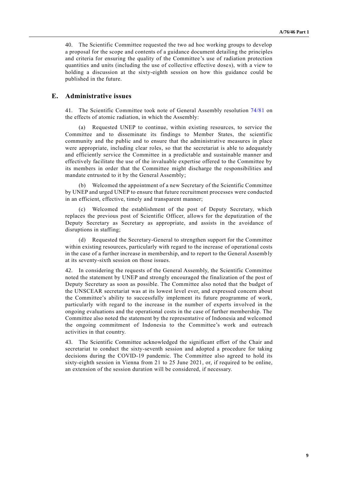40. The Scientific Committee requested the two ad hoc working groups to develop a proposal for the scope and contents of a guidance document detailing the principles and criteria for ensuring the quality of the Committee's use of radiation protection quantities and units (including the use of collective effective dose s), with a view to holding a discussion at the sixty-eighth session on how this guidance could be published in the future.

# **E. Administrative issues**

41. The Scientific Committee took note of General Assembly resolution [74/81](http://undocs.org/A/RES/74/81) on the effects of atomic radiation, in which the Assembly:

(a) Requested UNEP to continue, within existing resources, to service the Committee and to disseminate its findings to Member States, the scientific community and the public and to ensure that the administrative measures in place were appropriate, including clear roles, so that the secretariat is able to adequately and efficiently service the Committee in a predictable and sustainable manner and effectively facilitate the use of the invaluable expertise offered to the Committee by its members in order that the Committee might discharge the responsibilities and mandate entrusted to it by the General Assembly;

(b) Welcomed the appointment of a new Secretary of the Scientific Committee by UNEP and urged UNEP to ensure that future recruitment processes were conducted in an efficient, effective, timely and transparent manner;

(c) Welcomed the establishment of the post of Deputy Secretary, which replaces the previous post of Scientific Officer, allows for the deputization of the Deputy Secretary as Secretary as appropriate, and assists in the avoidance of disruptions in staffing;

(d) Requested the Secretary-General to strengthen support for the Committee within existing resources, particularly with regard to the increase of operational costs in the case of a further increase in membership, and to report to the General Assembly at its seventy-sixth session on those issues.

42. In considering the requests of the General Assembly, the Scientific Committee noted the statement by UNEP and strongly encouraged the finalization of the post of Deputy Secretary as soon as possible. The Committee also noted that the budget of the UNSCEAR secretariat was at its lowest level ever, and expressed concern about the Committee's ability to successfully implement its future programme of work, particularly with regard to the increase in the number of experts involved in the ongoing evaluations and the operational costs in the case of further membership. The Committee also noted the statement by the representative of Indonesia and welcomed the ongoing commitment of Indonesia to the Committee's work and outreach activities in that country.

43. The Scientific Committee acknowledged the significant effort of the Chair and secretariat to conduct the sixty-seventh session and adopted a procedure for taking decisions during the COVID-19 pandemic. The Committee also agreed to hold its sixty-eighth session in Vienna from 21 to 25 June 2021, or, if required to be online, an extension of the session duration will be considered, if necessary.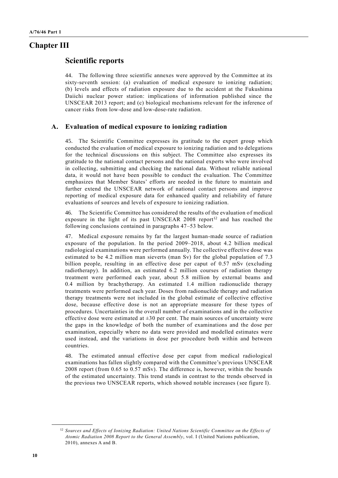# **Chapter III**

# **Scientific reports**

44. The following three scientific annexes were approved by the Committee at its sixty-seventh session: (a) evaluation of medical exposure to ionizing radiation; (b) levels and effects of radiation exposure due to the accident at the Fukushima Daiichi nuclear power station: implications of information published since the UNSCEAR 2013 report; and (c) biological mechanisms relevant for the inference of cancer risks from low-dose and low-dose-rate radiation.

#### **A. Evaluation of medical exposure to ionizing radiation**

45. The Scientific Committee expresses its gratitude to the expert group which conducted the evaluation of medical exposure to ionizing radiation and to delegations for the technical discussions on this subject. The Committee also expresses its gratitude to the national contact persons and the national experts who were involved in collecting, submitting and checking the national data. Without reliable national data, it would not have been possible to conduct the evaluation. The Committee emphasizes that Member States' efforts are needed in the future to maintain and further extend the UNSCEAR network of national contact persons and improve reporting of medical exposure data for enhanced quality and reliability of future evaluations of sources and levels of exposure to ionizing radiation.

46. The Scientific Committee has considered the results of the evaluation of medical exposure in the light of its past UNSCEAR 2008 report<sup>12</sup> and has reached the following conclusions contained in paragraphs 47–53 below.

47. Medical exposure remains by far the largest human-made source of radiation exposure of the population. In the period 2009–2018, about 4.2 billion medical radiological examinations were performed annually. The collective effective dose was estimated to be 4.2 million man sieverts (man Sv) for the global population of 7.3 billion people, resulting in an effective dose per caput of 0.57 mSv (excluding radiotherapy). In addition, an estimated 6.2 million courses of radiation therapy treatment were performed each year, about 5.8 million by external beams and 0.4 million by brachytherapy. An estimated 1.4 million radionuclide therapy treatments were performed each year. Doses from radionuclide therapy and radiation therapy treatments were not included in the global estimate of collective effective dose, because effective dose is not an appropriate measure for these types of procedures. Uncertainties in the overall number of examinations and in the collective effective dose were estimated at  $\pm 30$  per cent. The main sources of uncertainty were the gaps in the knowledge of both the number of examinations and the dose per examination, especially where no data were provided and modelled estimates were used instead, and the variations in dose per procedure both within and between countries.

48. The estimated annual effective dose per caput from medical radiological examinations has fallen slightly compared with the Committee's previous UNSCEAR 2008 report (from 0.65 to 0.57 mSv). The difference is, however, within the bounds of the estimated uncertainty. This trend stands in contrast to the trends observed in the previous two UNSCEAR reports, which showed notable increases (see figure I).

<sup>&</sup>lt;sup>12</sup> Sources and Effects of Ionizing Radiation: United Nations Scientific Committee on the Effects of *Atomic Radiation 2008 Report to the General Assembly*, vol. I (United Nations publication, 2010), annexes A and B.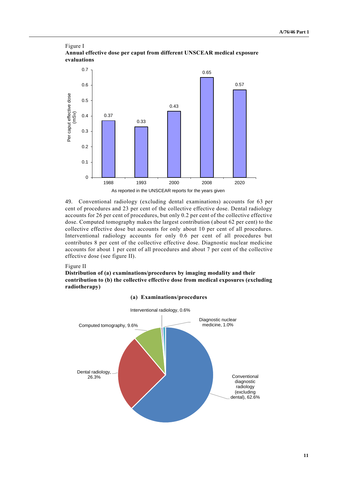#### Figure I **Annual effective dose per caput from different UNSCEAR medical exposure evaluations**



49. Conventional radiology (excluding dental examinations) accounts for 63 per cent of procedures and 23 per cent of the collective effective dose. Dental radiology accounts for 26 per cent of procedures, but only 0.2 per cent of the collective effective dose. Computed tomography makes the largest contribution (about 62 per cent) to the collective effective dose but accounts for only about 10 per cent of all procedures. Interventional radiology accounts for only 0.6 per cent of all procedures but contributes 8 per cent of the collective effective dose. Diagnostic nuclear medicine accounts for about 1 per cent of all procedures and about 7 per cent of the collective effective dose (see figure II).

#### Figure II

**Distribution of (a) examinations/procedures by imaging modality and their contribution to (b) the collective effective dose from medical exposures (excluding radiotherapy)**

#### **(a) Examinations/procedures**

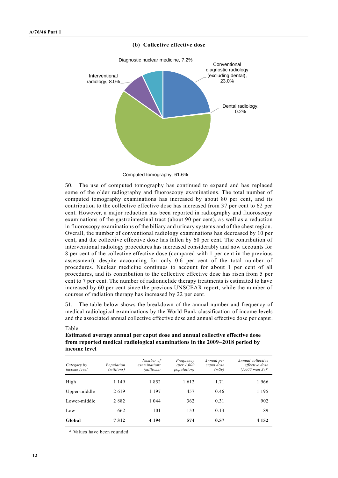

#### **(b) Collective effective dose**

Computed tomography, 61.6%

50. The use of computed tomography has continued to expand and has replaced some of the older radiography and fluoroscopy examinations. The total number of computed tomography examinations has increased by about 80 per cent, and its contribution to the collective effective dose has increased from 37 per cent to 62 per cent. However, a major reduction has been reported in radiography and fluoroscopy examinations of the gastrointestinal tract (about 90 per cent), as well as a reduction in fluoroscopy examinations of the biliary and urinary systems and of the chest region. Overall, the number of conventional radiology examinations has decreased by 10 per cent, and the collective effective dose has fallen by 60 per cent. The contribution of interventional radiology procedures has increased considerably and now accounts for 8 per cent of the collective effective dose (compared with 1 per cent in the previous assessment), despite accounting for only 0.6 per cent of the total number of procedures. Nuclear medicine continues to account for about 1 per cent of all procedures, and its contribution to the collective effective dose has risen from 5 per cent to 7 per cent. The number of radionuclide therapy treatments is estimated to have increased by 60 per cent since the previous UNSCEAR report, while the number of courses of radiation therapy has increased by 22 per cent.

51. The table below shows the breakdown of the annual number and frequency of medical radiological examinations by the World Bank classification of income levels and the associated annual collective effective dose and annual effective dose per caput.

| Category by<br><i>income level</i> | Population<br>(millions) | Number of<br>examinations<br>(millions) | Frequency<br>(per $1,000$<br><i>population</i> ) | Annual per<br>caput dose<br>(mSv) | Annual collective<br>effective dose<br>$(1,000 \text{ man Sv})^a$ |
|------------------------------------|--------------------------|-----------------------------------------|--------------------------------------------------|-----------------------------------|-------------------------------------------------------------------|
| High                               | 1 1 4 9                  | 1852                                    | 1612                                             | 1.71                              | 1966                                                              |
| Upper-middle                       | 2619                     | 1 1 9 7                                 | 457                                              | 0.46                              | 1 1 9 5                                                           |
| Lower-middle                       | 2882                     | 1 0 4 4                                 | 362                                              | 0.31                              | 902                                                               |
| Low                                | 662                      | 101                                     | 153                                              | 0.13                              | 89                                                                |
| Global                             | 7312                     | 4 1 9 4                                 | 574                                              | 0.57                              | 4 1 5 2                                                           |

#### Table

**Estimated average annual per caput dose and annual collective effective dose from reported medical radiological examinations in the 2009–2018 period by income level**

*<sup>a</sup>* Values have been rounded.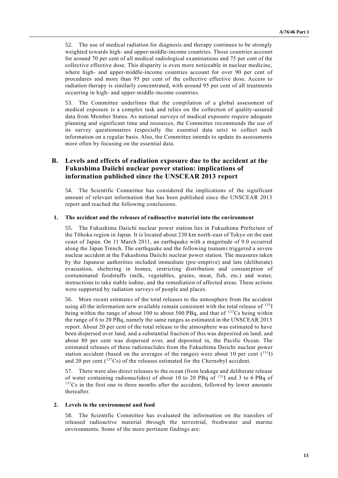52. The use of medical radiation for diagnosis and therapy continues to be strongly weighted towards high- and upper-middle-income countries. Those countries account for around 70 per cent of all medical radiological examinations and 75 per cent of the collective effective dose. This disparity is even more noticeable in nuclear medicine, where high- and upper-middle-income countries account for over 90 per cent of procedures and more than 95 per cent of the collective effective dose. Access to radiation therapy is similarly concentrated, with around 95 per cent of all treatments occurring in high- and upper-middle-income countries.

53. The Committee underlines that the compilation of a global assessment of medical exposure is a complex task and relies on the collection of quality-assured data from Member States. As national surveys of medical exposure require adequate planning and significant time and resources, the Committee recommends the use of its survey questionnaires (especially the essential data sets) to collect such information on a regular basis. Also, the Committee intends to update its assessments more often by focusing on the essential data.

# **B. Levels and effects of radiation exposure due to the accident at the Fukushima Daiichi nuclear power station: implications of information published since the UNSCEAR 2013 report**

54. The Scientific Committee has considered the implications of the significant amount of relevant information that has been published since the UNSCEAR 2013 report and reached the following conclusions.

#### **1. The accident and the releases of radioactive material into the environment**

55. The Fukushima Daiichi nuclear power station lies in Fukushima Prefecture of the Tōhoku region in Japan. It is located about 230 km north-east of Tokyo on the east coast of Japan. On 11 March 2011, an earthquake with a magnitude of 9.0 occurred along the Japan Trench. The earthquake and the following tsunami triggered a severe nuclear accident at the Fukushima Daiichi nuclear power station. The measures taken by the Japanese authorities included immediate (pre-emptive) and late (deliberate) evacuation, sheltering in homes, restricting distribution and consumption of contaminated foodstuffs (milk, vegetables, grains, meat, fish, etc.) and water, instructions to take stable iodine, and the remediation of affected areas. These actions were supported by radiation surveys of people and places.

56. More recent estimates of the total releases to the atmosphere from the accident using all the information now available remain consistent with the total release of  $^{131}I$ being within the range of about 100 to about 500 PBq, and that of <sup>137</sup>Cs being within the range of 6 to 20 PBq, namely the same ranges as estimated in the UNSCEAR 2013 report. About 20 per cent of the total release to the atmosphere was estimated to have been dispersed over land, and a substantial fraction of this was deposited on land; and about 80 per cent was dispersed over, and deposited in, the Pacific Ocean. The estimated releases of these radionuclides from the Fukushima Daiichi nuclear power station accident (based on the averages of the ranges) were about 10 per cent  $(^{131}I)$ and 20 per cent  $(^{137}Cs)$  of the releases estimated for the Chernobyl accident.

57. There were also direct releases to the ocean (from leakage and deliberate release of water containing radionuclides) of about 10 to 20 PBq of  $^{131}I$  and 3 to 6 PBq of  $137Cs$  in the first one to three months after the accident, followed by lower amounts thereafter.

#### **2. Levels in the environment and food**

58. The Scientific Committee has evaluated the information on the transfers of released radioactive material through the terrestrial, freshwater and marine environments. Some of the more pertinent findings are: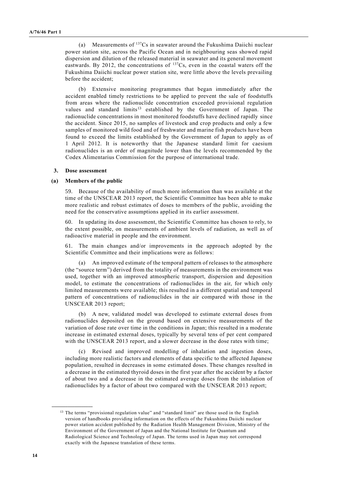(a) Measurements of  $137Cs$  in seawater around the Fukushima Daiichi nuclear power station site, across the Pacific Ocean and in neighbouring seas showed rapid dispersion and dilution of the released material in seawater and its general movement eastwards. By 2012, the concentrations of  $137Cs$ , even in the coastal waters off the Fukushima Daiichi nuclear power station site, were little above the levels prevailing before the accident;

(b) Extensive monitoring programmes that began immediately after the accident enabled timely restrictions to be applied to prevent the sale of foodstuffs from areas where the radionuclide concentration exceeded provisional regulation values and standard limits<sup>13</sup> established by the Government of Japan. The radionuclide concentrations in most monitored foodstuffs have declined rapidly since the accident. Since 2015, no samples of livestock and crop products and only a few samples of monitored wild food and of freshwater and marine fish products have been found to exceed the limits established by the Government of Japan to apply as of 1 April 2012. It is noteworthy that the Japanese standard limit for caesium radionuclides is an order of magnitude lower than the levels recommended by the Codex Alimentarius Commission for the purpose of international trade.

#### **3. Dose assessment**

#### **(a) Members of the public**

59. Because of the availability of much more information than was available at the time of the UNSCEAR 2013 report, the Scientific Committee has been able to make more realistic and robust estimates of doses to members of the public, avoiding the need for the conservative assumptions applied in its earlier assessment.

60. In updating its dose assessment, the Scientific Committee has chosen to rely, to the extent possible, on measurements of ambient levels of radiation, as well as of radioactive material in people and the environment.

61. The main changes and/or improvements in the approach adopted by the Scientific Committee and their implications were as follows:

(a) An improved estimate of the temporal pattern of releases to the atmosphere (the "source term") derived from the totality of measurements in the environment was used, together with an improved atmospheric transport, dispersion and deposition model, to estimate the concentrations of radionuclides in the air, for which only limited measurements were available; this resulted in a different spatial and temporal pattern of concentrations of radionuclides in the air compared with those in the UNSCEAR 2013 report;

(b) A new, validated model was developed to estimate external doses from radionuclides deposited on the ground based on extensive measurements of the variation of dose rate over time in the conditions in Japan; this resulted in a moderate increase in estimated external doses, typically by several tens of per cent compared with the UNSCEAR 2013 report, and a slower decrease in the dose rates with time;

(c) Revised and improved modelling of inhalation and ingestion doses, including more realistic factors and elements of data specific to the affected Japanese population, resulted in decreases in some estimated doses. These changes resulted in a decrease in the estimated thyroid doses in the first year after the accident by a factor of about two and a decrease in the estimated average doses from the inhalation of radionuclides by a factor of about two compared with the UNSCEAR 2013 report;

<sup>&</sup>lt;sup>13</sup> The terms "provisional regulation value" and "standard limit" are those used in the English version of handbooks providing information on the effects of the Fukushima Daiichi nuclear power station accident published by the Radiation Health Management Division, Ministry of the Environment of the Government of Japan and the National Institute for Quantum and Radiological Science and Technology of Japan. The terms used in Japan may not correspond exactly with the Japanese translation of these terms.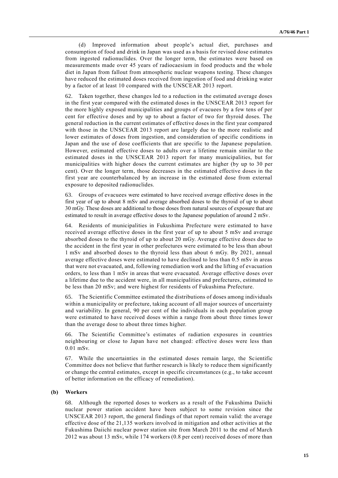(d) Improved information about people's actual diet, purchases and consumption of food and drink in Japan was used as a basis for revised dose estimates from ingested radionuclides. Over the longer term, the estimates were based on measurements made over 45 years of radiocaesium in food products and the whole diet in Japan from fallout from atmospheric nuclear weapons testing. These changes have reduced the estimated doses received from ingestion of food and drinking water by a factor of at least 10 compared with the UNSCEAR 2013 report.

62. Taken together, these changes led to a reduction in the estimated average doses in the first year compared with the estimated doses in the UNSCEAR 2013 report for the more highly exposed municipalities and groups of evacuees by a few tens of per cent for effective doses and by up to about a factor of two for thyroid doses. The general reduction in the current estimates of effective doses in the first year compared with those in the UNSCEAR 2013 report are largely due to the more realistic and lower estimates of doses from ingestion, and consideration of specific conditions in Japan and the use of dose coefficients that are specific to the Japanese population. However, estimated effective doses to adults over a lifetime remain similar to the estimated doses in the UNSCEAR 2013 report for many municipalities, but for municipalities with higher doses the current estimates are higher (by up to 30 per cent). Over the longer term, those decreases in the estimated effective doses in the first year are counterbalanced by an increase in the estimated dose from external exposure to deposited radionuclides.

63. Groups of evacuees were estimated to have received average effective doses in the first year of up to about 8 mSv and average absorbed doses to the thyroid of up to about 30 mGy. These doses are additional to those doses from natural sources of exposure that are estimated to result in average effective doses to the Japanese population of around 2 mSv.

64. Residents of municipalities in Fukushima Prefecture were estimated to have received average effective doses in the first year of up to about 5 mSv and average absorbed doses to the thyroid of up to about 20 mGy. Average effective doses due to the accident in the first year in other prefectures were estimated to be less than about 1 mSv and absorbed doses to the thyroid less than about 6 mGy. By 2021, annual average effective doses were estimated to have declined to less than 0.5 mSv in areas that were not evacuated, and, following remediation work and the lifting of evacuation orders, to less than 1 mSv in areas that were evacuated. Average effective doses over a lifetime due to the accident were, in all municipalities and prefectures, estimated to be less than 20 mSv; and were highest for residents of Fukushima Prefecture.

65. The Scientific Committee estimated the distributions of doses among individuals within a municipality or prefecture, taking account of all major sources of uncertainty and variability. In general, 90 per cent of the individuals in each population group were estimated to have received doses within a range from about three times lower than the average dose to about three times higher.

66. The Scientific Committee's estimates of radiation exposures in countries neighbouring or close to Japan have not changed: effective doses were less than 0.01 mSv.

While the uncertainties in the estimated doses remain large, the Scientific Committee does not believe that further research is likely to reduce them significantly or change the central estimates, except in specific circumstances (e.g., to take account of better information on the efficacy of remediation).

#### **(b) Workers**

68. Although the reported doses to workers as a result of the Fukushima Daiichi nuclear power station accident have been subject to some revision since the UNSCEAR 2013 report, the general findings of that report remain valid: the average effective dose of the 21,135 workers involved in mitigation and other activities at the Fukushima Daiichi nuclear power station site from March 2011 to the end of March 2012 was about 13 mSv, while 174 workers (0.8 per cent) received doses of more than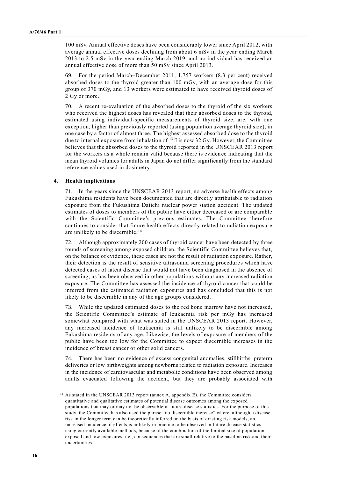100 mSv. Annual effective doses have been considerably lower since April 2012, with average annual effective doses declining from about 6 mSv in the year ending March 2013 to 2.5 mSv in the year ending March 2019, and no individual has received an annual effective dose of more than 50 mSv since April 2013.

69. For the period March–December 2011, 1,757 workers (8.3 per cent) received absorbed doses to the thyroid greater than 100 mGy, with an average dose for this group of 370 mGy, and 13 workers were estimated to have received thyroid doses of 2 Gy or more.

70. A recent re-evaluation of the absorbed doses to the thyroid of the six workers who received the highest doses has revealed that their absorbed doses to the thyroid, estimated using individual-specific measurements of thyroid size, are, with one exception, higher than previously reported (using population average thyroid size), in one case by a factor of almost three. The highest assessed absorbed dose to the thyroid due to internal exposure from inhalation of <sup>131</sup>I is now 32 Gy. However, the Committee believes that the absorbed doses to the thyroid reported in the UNSCEAR 2013 report for the workers as a whole remain valid because there is evidence indicating that the mean thyroid volumes for adults in Japan do not differ significantly from the standard reference values used in dosimetry.

#### **4. Health implications**

71. In the years since the UNSCEAR 2013 report, no adverse health effects among Fukushima residents have been documented that are directly attributable to radiation exposure from the Fukushima Daiichi nuclear power station accident. The updated estimates of doses to members of the public have either decreased or are comparable with the Scientific Committee's previous estimates. The Committee therefore continues to consider that future health effects directly related to radiation exposure are unlikely to be discernible.<sup>14</sup>

72. Although approximately 200 cases of thyroid cancer have been detected by three rounds of screening among exposed children, the Scientific Committee believes that, on the balance of evidence, these cases are not the result of radiation exposure. Rather, their detection is the result of sensitive ultrasound screening procedures which have detected cases of latent disease that would not have been diagnosed in the absence of screening, as has been observed in other populations without any increased radiation exposure. The Committee has assessed the incidence of thyroid cancer tha t could be inferred from the estimated radiation exposures and has concluded that this is not likely to be discernible in any of the age groups considered.

73. While the updated estimated doses to the red bone marrow have not increased, the Scientific Committee's estimate of leukaemia risk per mGy has increased somewhat compared with what was stated in the UNSCEAR 2013 report. However, any increased incidence of leukaemia is still unlikely to be discernible among Fukushima residents of any age. Likewise, the levels of exposure of members of the public have been too low for the Committee to expect discernible increases in the incidence of breast cancer or other solid cancers.

74. There has been no evidence of excess congenital anomalies, stillbirths, preterm deliveries or low birthweights among newborns related to radiation exposure. Increases in the incidence of cardiovascular and metabolic conditions have been observed among adults evacuated following the accident, but they are probably associated with

 $14$  As stated in the UNSCEAR 2013 report (annex A, appendix E), the Committee considers quantitative and qualitative estimates of potential disease outcomes among the exposed populations that may or may not be observable in future disease statistics. For the purpose of this study, the Committee has also used the phrase "no discernible increase" where, although a disease risk in the longer term can be theoretically inferred on the basis of existing risk models, an increased incidence of effects is unlikely in practice to be observed in future disease statistics using currently available methods, because of the combination of the limited size of population exposed and low exposures, i.e., consequences that are small relative to the baseline risk and their uncertainties.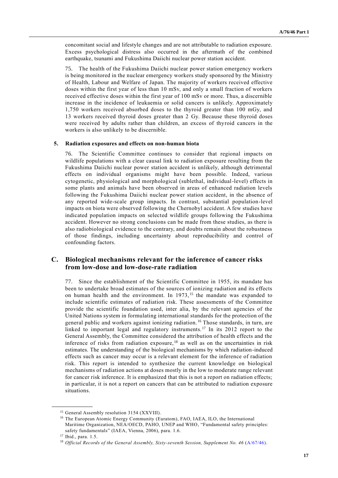concomitant social and lifestyle changes and are not attributable to radiation exposure. Excess psychological distress also occurred in the aftermath of the combined earthquake, tsunami and Fukushima Daiichi nuclear power station accident.

75. The health of the Fukushima Daiichi nuclear power station emergency workers is being monitored in the nuclear emergency workers study sponsored by the Ministry of Health, Labour and Welfare of Japan. The majority of workers received effective doses within the first year of less than 10 mSv, and only a small fraction of workers received effective doses within the first year of 100 mSv or more. Thus, a discernible increase in the incidence of leukaemia or solid cancers is unlikely. Approximately 1,750 workers received absorbed doses to the thyroid greater than 100 mGy, and 13 workers received thyroid doses greater than 2 Gy. Because these thyroid doses were received by adults rather than children, an excess of thyroid cancers in the workers is also unlikely to be discernible.

#### **5. Radiation exposures and effects on non-human biota**

76. The Scientific Committee continues to consider that regional impacts on wildlife populations with a clear causal link to radiation exposure resulting from the Fukushima Daiichi nuclear power station accident is unlikely, although detrimental effects on individual organisms might have been possible. Indeed, various cytogenetic, physiological and morphological (sublethal, individual-level) effects in some plants and animals have been observed in areas of enhanced radiation levels following the Fukushima Daiichi nuclear power station accident, in the absence of any reported wide-scale group impacts. In contrast, substantial population-level impacts on biota were observed following the Chernobyl accident. A few studies have indicated population impacts on selected wildlife groups following the Fukushima accident. However no strong conclusions can be made from these studies, as there is also radiobiological evidence to the contrary, and doubts remain about the robustness of those findings, including uncertainty about reproducibility and control of confounding factors.

# **C. Biological mechanisms relevant for the inference of cancer risks from low-dose and low-dose-rate radiation**

77. Since the establishment of the Scientific Committee in 1955, its mandate has been to undertake broad estimates of the sources of ionizing radiation and its effects on human health and the environment. In  $1973$ , <sup>15</sup> the mandate was expanded to include scientific estimates of radiation risk. These assessments of the Committee provide the scientific foundation used, inter alia, by the relevant agencies of the United Nations system in formulating international standards for the protection of the general public and workers against ionizing radiation. <sup>16</sup> Those standards, in turn, are linked to important legal and regulatory instruments. <sup>17</sup> In its 2012 report to the General Assembly, the Committee considered the attribution of health effects and the inference of risks from radiation exposure, <sup>18</sup> as well as on the uncertainties in risk estimates. The understanding of the biological mechanisms by which radiation-induced effects such as cancer may occur is a relevant element for the inference of radiation risk. This report is intended to synthesize the current knowledge on biological mechanisms of radiation actions at doses mostly in the low to moderate range relevant for cancer risk inference. It is emphasized that this is not a report on radiation effects; in particular, it is not a report on cancers that can be attributed to radiation exposure situations.

<sup>&</sup>lt;sup>15</sup> General Assembly resolution 3154 (XXVIII).

<sup>&</sup>lt;sup>16</sup> The European Atomic Energy Community (Euratom), FAO, IAEA, ILO, the International Maritime Organization, NEA/OECD, PAHO, UNEP and WHO, "Fundamental safety principles: safety fundamentals" (IAEA, Vienna, 2006), para. 1.6.

<sup>17</sup> Ibid., para. 1.5.

<sup>&</sup>lt;sup>18</sup> *Official Records of the General Assembly, Sixty-seventh Session, Supplement No. 46 [\(A/67/46\)](http://undocs.org/A/67/46).*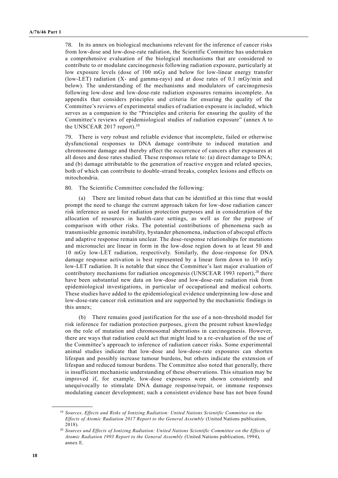78. In its annex on biological mechanisms relevant for the inference of cancer risks from low-dose and low-dose-rate radiation, the Scientific Committee has undertaken a comprehensive evaluation of the biological mechanisms that are considered to contribute to or modulate carcinogenesis following radiation exposure, particularly at low exposure levels (dose of 100 mGy and below for low-linear energy transfer (low-LET) radiation (X- and gamma-rays) and at dose rates of 0.1 mGy/min and below). The understanding of the mechanisms and modulators of carcinogenesis following low-dose and low-dose-rate radiation exposures remains incomplete. An appendix that considers principles and criteria for ensuring the quality of the Committee's reviews of experimental studies of radiation exposure is included, which serves as a companion to the "Principles and criteria for ensuring the quality of the Committee's reviews of epidemiological studies of radiation exposure" (annex A to the UNSCEAR 2017 report).<sup>19</sup>

79. There is very robust and reliable evidence that incomplete, failed or otherwise dysfunctional responses to DNA damage contribute to induced mutation and chromosome damage and thereby affect the occurrence of cancers after exposures at all doses and dose rates studied. These responses relate to: (a) direct damage to DNA; and (b) damage attributable to the generation of reactive oxygen and related species, both of which can contribute to double-strand breaks, complex lesions and effects on mitochondria.

#### 80. The Scientific Committee concluded the following:

(a) There are limited robust data that can be identified at this time that would prompt the need to change the current approach taken for low-dose radiation cancer risk inference as used for radiation protection purposes and in consideration of the allocation of resources in health-care settings, as well as for the purpose of comparison with other risks. The potential contributions of phenomena such as transmissible genomic instability, bystander phenomena, induction of abscopal effects and adaptive response remain unclear. The dose-response relationships for mutations and micronuclei are linear in form in the low-dose region down to at least 50 and 10 mGy low-LET radiation, respectively. Similarly, the dose-response for DNA damage response activation is best represented by a linear form down to 10 mGy low-LET radiation. It is notable that since the Committee's last major evaluation of contributory mechanisms for radiation oncogenesis (UNSCEAR 1993 report), $^{20}$  there have been substantial new data on low-dose and low-dose-rate radiation risk from epidemiological investigations, in particular of occupational and medical cohorts. These studies have added to the epidemiological evidence underpinning low-dose and low-dose-rate cancer risk estimation and are supported by the mechanistic findings in this annex;

(b) There remains good justification for the use of a non-threshold model for risk inference for radiation protection purposes, given the present robust knowledge on the role of mutation and chromosomal aberrations in carcinogenesis. However, there are ways that radiation could act that might lead to a re-evaluation of the use of the Committee's approach to inference of radiation cancer risks. Some experimental animal studies indicate that low-dose and low-dose-rate exposures can shorten lifespan and possibly increase tumour burdens, but others indicate the extension of lifespan and reduced tumour burdens. The Committee also noted that generally, there is insufficient mechanistic understanding of these observations. This situation may be improved if, for example, low-dose exposures were shown consistently and unequivocally to stimulate DNA damage response/repair, or immune responses modulating cancer development; such a consistent evidence base has not been found

<sup>19</sup> *Sources, Effects and Risks of Ionizing Radiation: United Nations Scientific Committee on the Effects of Atomic Radiation 2017 Report to the General Assembly* (United Nations publication, 2018).

<sup>20</sup> *Sources and Effects of Ionizing Radiation: United Nations Scientific Committee on the Effects of Atomic Radiation 1993 Report to the General Assembly* (United Nations publication, 1994), annex E.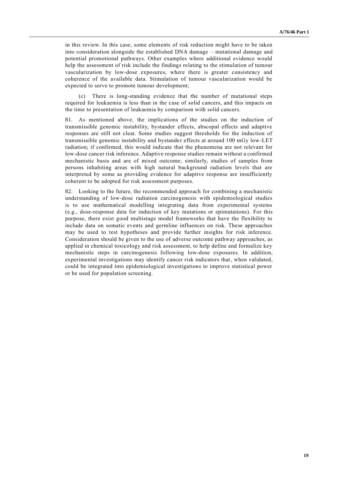in this review. In this case, some elements of risk reduction might have to be taken into consideration alongside the established DNA damage – mutational damage and potential promotional pathways. Other examples where additional evidence would help the assessment of risk include the findings relating to the stimulation of tumour vascularization by low-dose exposures, where there is greater consistency and coherence of the available data. Stimulation of tumour vascularization would be expected to serve to promote tumour development;

(c) There is long-standing evidence that the number of mutational steps required for leukaemia is less than in the case of solid cancers, and this impacts on the time to presentation of leukaemia by comparison with solid cancers.

81. As mentioned above, the implications of the studies on the induction of transmissible genomic instability, bystander effects, abscopal effects and adaptive responses are still not clear. Some studies suggest thresholds for the induction of transmissible genomic instability and bystander effects at around 100 mGy low-LET radiation; if confirmed, this would indicate that the phenomena are not relevant for low-dose cancer risk inference. Adaptive response studies remain without a confirmed mechanistic basis and are of mixed outcome; similarly, studies of samples from persons inhabiting areas with high natural background radiation levels that are interpreted by some as providing evidence for adaptive response are insufficiently coherent to be adopted for risk assessment purposes.

82. Looking to the future, the recommended approach for combining a mechanistic understanding of low-dose radiation carcinogenesis with epidemiological studies is to use mathematical modelling integrating data from experimental systems (e.g., dose-response data for induction of key mutations or epimutations). For this purpose, there exist good multistage model frameworks that have the flexibility to include data on somatic events and germline influences on risk. These approaches may be used to test hypotheses and provide further insights for risk inference. Consideration should be given to the use of adverse outcome pathway approaches, as applied in chemical toxicology and risk assessment, to help define and formalize key mechanistic steps in carcinogenesis following low-dose exposures. In addition, experimental investigations may identify cancer risk indicators that, when validated, could be integrated into epidemiological investigations to improve statistical power or be used for population screening.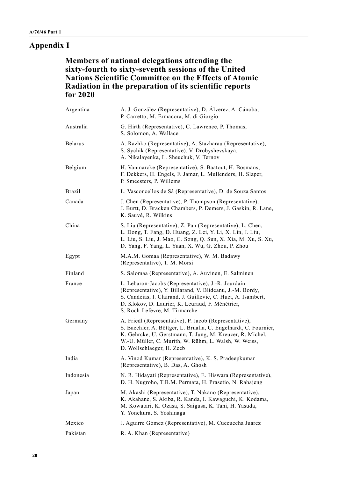# **Appendix I**

**Members of national delegations attending the sixty-fourth to sixty-seventh sessions of the United Nations Scientific Committee on the Effects of Atomic Radiation in the preparation of its scientific reports for 2020**

| Argentina      | A. J. González (Representative), D. Álverez, A. Cánoba,<br>P. Carretto, M. Ermacora, M. di Giorgio                                                                                                                                                                            |
|----------------|-------------------------------------------------------------------------------------------------------------------------------------------------------------------------------------------------------------------------------------------------------------------------------|
| Australia      | G. Hirth (Representative), C. Lawrence, P. Thomas,<br>S. Solomon, A. Wallace                                                                                                                                                                                                  |
| <b>Belarus</b> | A. Razhko (Representative), A. Stazharau (Representative),<br>S. Sychik (Representative), V. Drobyshevskaya,<br>A. Nikalayenka, L. Sheuchuk, V. Ternov                                                                                                                        |
| Belgium        | H. Vanmarcke (Representative), S. Baatout, H. Bosmans,<br>F. Dekkers, H. Engels, F. Jamar, L. Mullenders, H. Slaper,<br>P. Smeesters, P. Willems                                                                                                                              |
| <b>Brazil</b>  | L. Vasconcellos de Sá (Representative), D. de Souza Santos                                                                                                                                                                                                                    |
| Canada         | J. Chen (Representative), P. Thompson (Representative),<br>J. Burtt, D. Bracken Chambers, P. Demers, J. Gaskin, R. Lane,<br>K. Sauvé, R. Wilkins                                                                                                                              |
| China          | S. Liu (Representative), Z. Pan (Representative), L. Chen,<br>L. Dong, T. Fang, D. Huang, Z. Lei, Y. Li, X. Lin, J. Liu,<br>L. Liu, S. Liu, J. Mao, G. Song, Q. Sun, X. Xia, M. Xu, S. Xu,<br>D. Yang, F. Yang, L. Yuan, X. Wu, G. Zhou, P. Zhou                              |
| Egypt          | M.A.M. Gomaa (Representative), W. M. Badawy<br>(Representative), T. M. Morsi                                                                                                                                                                                                  |
| Finland        | S. Salomaa (Representative), A. Auvinen, E. Salminen                                                                                                                                                                                                                          |
| France         | L. Lebaron-Jacobs (Representative), J.-R. Jourdain<br>(Representative), Y. Billarand, V. Blideanu, J.-M. Bordy,<br>S. Candéias, I. Clairand, J. Guillevic, C. Huet, A. Isambert,<br>D. Klokov, D. Laurier, K. Leuraud, F. Ménétrier,<br>S. Roch-Lefevre, M. Tirmarche         |
| Germany        | A. Friedl (Representative), P. Jacob (Representative),<br>S. Baechler, A. Böttger, L. Brualla, C. Engelhardt, C. Fournier,<br>K. Gehrcke, U. Gerstmann, T. Jung, M. Kreuzer, R. Michel,<br>W.-U. Müller, C. Murith, W. Rühm, L. Walsh, W. Weiss,<br>D. Wollschlaeger, H. Zeeb |
| India          | A. Vinod Kumar (Representative), K. S. Pradeepkumar<br>(Representative), B. Das, A. Ghosh                                                                                                                                                                                     |
| Indonesia      | N. R. Hidayati (Representative), E. Hiswara (Representative),<br>D. H. Nugroho, T.B.M. Permata, H. Prasetio, N. Rahajeng                                                                                                                                                      |
| Japan          | M. Akashi (Representative), T. Nakano (Representative),<br>K. Akahane, S. Akiba, R. Kanda, I. Kawaguchi, K. Kodama,<br>M. Kowatari, K. Ozasa, S. Saigusa, K. Tani, H. Yasuda,<br>Y. Yonekura, S. Yoshinaga                                                                    |
| Mexico         | J. Aguirre Gómez (Representative), M. Cuecuecha Juárez                                                                                                                                                                                                                        |
| Pakistan       | R. A. Khan (Representative)                                                                                                                                                                                                                                                   |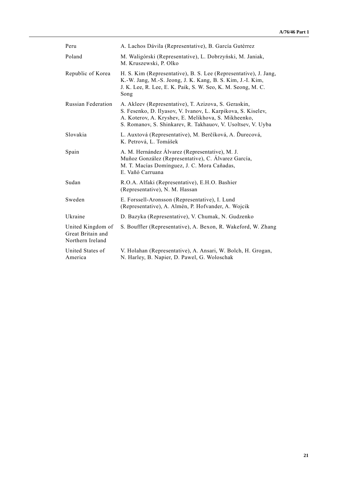| Peru                                                       | A. Lachos Dávila (Representative), B. García Gutérrez                                                                                                                                                                                      |
|------------------------------------------------------------|--------------------------------------------------------------------------------------------------------------------------------------------------------------------------------------------------------------------------------------------|
| Poland                                                     | M. Waligórski (Representative), L. Dobrzyński, M. Janiak,<br>M. Kruszewski, P. Olko                                                                                                                                                        |
| Republic of Korea                                          | H. S. Kim (Representative), B. S. Lee (Representative), J. Jang,<br>K.-W. Jang, M.-S. Jeong, J. K. Kang, B. S. Kim, J.-I. Kim,<br>J. K. Lee, R. Lee, E. K. Paik, S. W. Seo, K. M. Seong, M. C.<br>Song                                     |
| Russian Federation                                         | A. Akleev (Representative), T. Azizova, S. Geraskin,<br>S. Fesenko, D. Ilyasov, V. Ivanov, L. Karpikova, S. Kiselev,<br>A. Koterov, A. Kryshev, E. Melikhova, S. Mikheenko,<br>S. Romanov, S. Shinkarev, R. Takhauov, V. Usoltsev, V. Uyba |
| Slovakia                                                   | L. Auxtová (Representative), M. Berčíková, A. Durecová,<br>K. Petrová, L. Tomášek                                                                                                                                                          |
| Spain                                                      | A. M. Hernández Álvarez (Representative), M. J.<br>Muñoz González (Representative), C. Álvarez García,<br>M. T. Macías Domínguez, J. C. Mora Cañadas,<br>E. Vañó Carruana                                                                  |
| Sudan                                                      | R.O.A. Alfaki (Representative), E.H.O. Bashier<br>(Representative), N. M. Hassan                                                                                                                                                           |
| Sweden                                                     | E. Forssell-Aronsson (Representative), I. Lund<br>(Representative), A. Almén, P. Hofvander, A. Wojcik                                                                                                                                      |
| Ukraine                                                    | D. Bazyka (Representative), V. Chumak, N. Gudzenko                                                                                                                                                                                         |
| United Kingdom of<br>Great Britain and<br>Northern Ireland | S. Bouffler (Representative), A. Bexon, R. Wakeford, W. Zhang                                                                                                                                                                              |
| United States of<br>America                                | V. Holahan (Representative), A. Ansari, W. Bolch, H. Grogan,<br>N. Harley, B. Napier, D. Pawel, G. Woloschak                                                                                                                               |